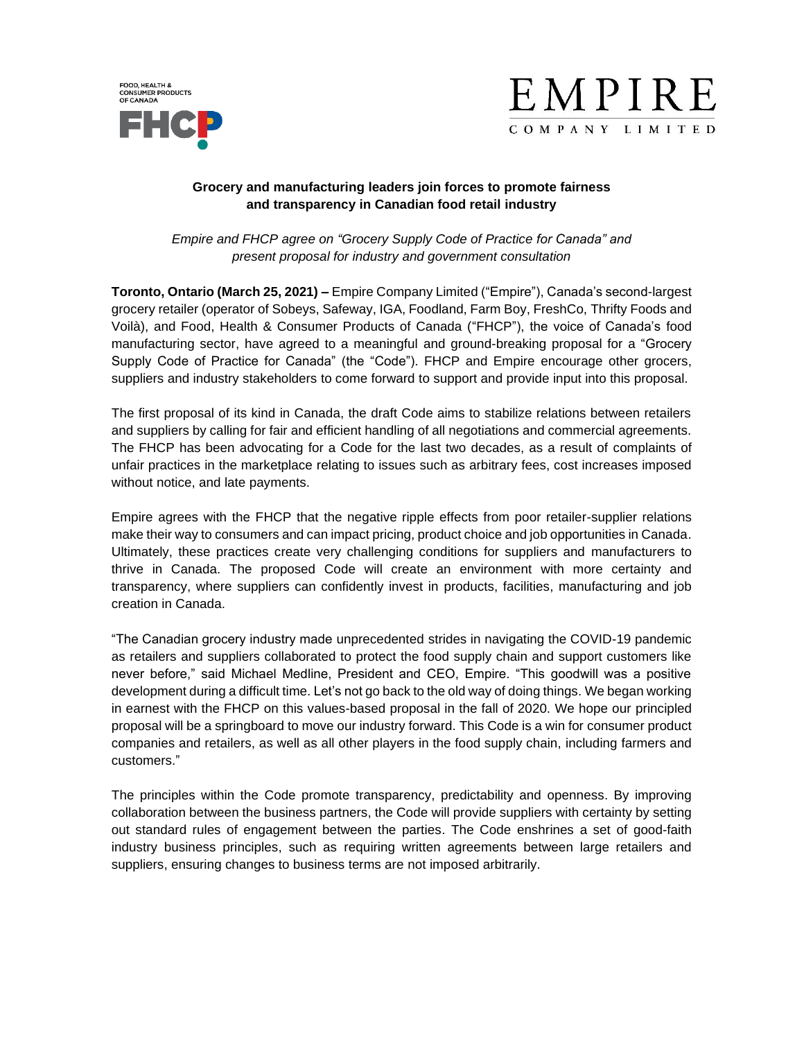



## **Grocery and manufacturing leaders join forces to promote fairness and transparency in Canadian food retail industry**

*Empire and FHCP agree on "Grocery Supply Code of Practice for Canada" and present proposal for industry and government consultation*

**Toronto, Ontario (March 25, 2021) –** Empire Company Limited ("Empire"), Canada's second-largest grocery retailer (operator of Sobeys, Safeway, IGA, Foodland, Farm Boy, FreshCo, Thrifty Foods and Voilà), and Food, Health & Consumer Products of Canada ("FHCP"), the voice of Canada's food manufacturing sector, have agreed to a meaningful and ground-breaking proposal for a "Grocery Supply Code of Practice for Canada" (the "Code"). FHCP and Empire encourage other grocers, suppliers and industry stakeholders to come forward to support and provide input into this proposal.

The first proposal of its kind in Canada, the draft Code aims to stabilize relations between retailers and suppliers by calling for fair and efficient handling of all negotiations and commercial agreements. The FHCP has been advocating for a Code for the last two decades, as a result of complaints of unfair practices in the marketplace relating to issues such as arbitrary fees, cost increases imposed without notice, and late payments.

Empire agrees with the FHCP that the negative ripple effects from poor retailer-supplier relations make their way to consumers and can impact pricing, product choice and job opportunities in Canada. Ultimately, these practices create very challenging conditions for suppliers and manufacturers to thrive in Canada. The proposed Code will create an environment with more certainty and transparency, where suppliers can confidently invest in products, facilities, manufacturing and job creation in Canada.

"The Canadian grocery industry made unprecedented strides in navigating the COVID-19 pandemic as retailers and suppliers collaborated to protect the food supply chain and support customers like never before," said Michael Medline, President and CEO, Empire. "This goodwill was a positive development during a difficult time. Let's not go back to the old way of doing things. We began working in earnest with the FHCP on this values-based proposal in the fall of 2020. We hope our principled proposal will be a springboard to move our industry forward. This Code is a win for consumer product companies and retailers, as well as all other players in the food supply chain, including farmers and customers."

The principles within the Code promote transparency, predictability and openness. By improving collaboration between the business partners, the Code will provide suppliers with certainty by setting out standard rules of engagement between the parties. The Code enshrines a set of good-faith industry business principles, such as requiring written agreements between large retailers and suppliers, ensuring changes to business terms are not imposed arbitrarily.